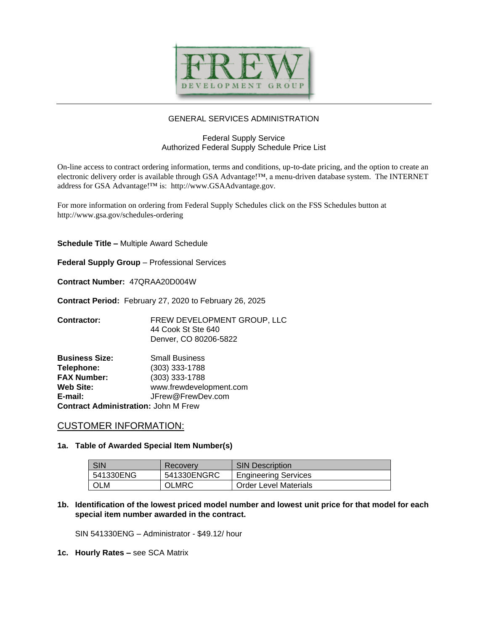

# GENERAL SERVICES ADMINISTRATION

## Federal Supply Service Authorized Federal Supply Schedule Price List

On-line access to contract ordering information, terms and conditions, up-to-date pricing, and the option to create an electronic delivery order is available through GSA Advantage!™, a menu-driven database system. The INTERNET address for GSA Advantage!™ is: http://www.GSAAdvantage.gov.

For more information on ordering from Federal Supply Schedules click on the FSS Schedules button at http://www.gsa.gov/schedules-ordering

**Schedule Title –** Multiple Award Schedule

**Federal Supply Group** – Professional Services

**Contract Number:** 47QRAA20D004W

**Contract Period:** February 27, 2020 to February 26, 2025

**Contractor:** FREW DEVELOPMENT GROUP, LLC 44 Cook St Ste 640 Denver, CO 80206-5822

| <b>Business Size:</b>                       | <b>Small Business</b>   |  |  |  |
|---------------------------------------------|-------------------------|--|--|--|
| Telephone:                                  | (303) 333-1788          |  |  |  |
| <b>FAX Number:</b>                          | (303) 333-1788          |  |  |  |
| Web Site:                                   | www.frewdevelopment.com |  |  |  |
| E-mail:                                     | JFrew@FrewDev.com       |  |  |  |
| <b>Contract Administration: John M Frew</b> |                         |  |  |  |

## CUSTOMER INFORMATION:

#### **1a. Table of Awarded Special Item Number(s)**

| <b>SIN</b> | <b>Recovery</b> | <b>SIN Description</b>       |
|------------|-----------------|------------------------------|
| 541330ENG  | 541330ENGRC     | <b>Engineering Services</b>  |
| OLM        | <b>OLMRC</b>    | <b>Order Level Materials</b> |

## **1b. Identification of the lowest priced model number and lowest unit price for that model for each special item number awarded in the contract.**

SIN 541330ENG – Administrator - \$49.12/ hour

**1c. Hourly Rates –** see SCA Matrix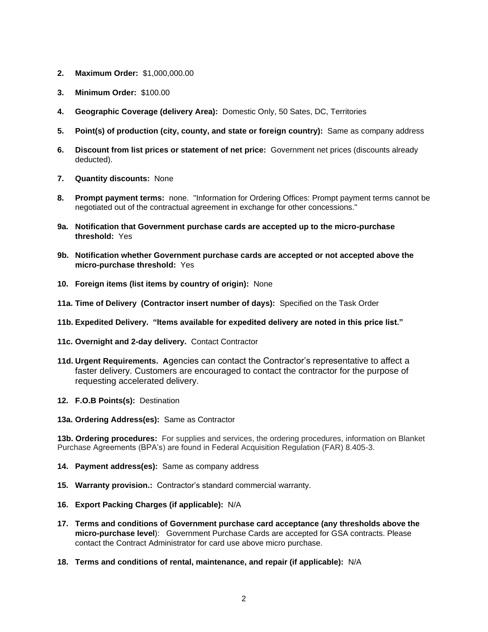- **2. Maximum Order:** \$1,000,000.00
- **3. Minimum Order:** \$100.00
- **4. Geographic Coverage (delivery Area):** Domestic Only, 50 Sates, DC, Territories
- **5. Point(s) of production (city, county, and state or foreign country):** Same as company address
- **6. Discount from list prices or statement of net price:** Government net prices (discounts already deducted).
- **7. Quantity discounts:** None
- **8. Prompt payment terms:** none. "Information for Ordering Offices: Prompt payment terms cannot be negotiated out of the contractual agreement in exchange for other concessions."
- **9a. Notification that Government purchase cards are accepted up to the micro-purchase threshold:** Yes
- **9b. Notification whether Government purchase cards are accepted or not accepted above the micro-purchase threshold:** Yes
- **10. Foreign items (list items by country of origin):** None
- **11a. Time of Delivery (Contractor insert number of days):** Specified on the Task Order
- **11b. Expedited Delivery. "Items available for expedited delivery are noted in this price list."**
- **11c. Overnight and 2-day delivery.** Contact Contractor
- **11d. Urgent Requirements. A**gencies can contact the Contractor's representative to affect a faster delivery. Customers are encouraged to contact the contractor for the purpose of requesting accelerated delivery.
- **12. F.O.B Points(s):** Destination
- **13a. Ordering Address(es):** Same as Contractor

**13b. Ordering procedures:** For supplies and services, the ordering procedures, information on Blanket Purchase Agreements (BPA's) are found in Federal Acquisition Regulation (FAR) 8.405-3.

- **14. Payment address(es):** Same as company address
- **15. Warranty provision.:** Contractor's standard commercial warranty.
- **16. Export Packing Charges (if applicable):** N/A
- **17. Terms and conditions of Government purchase card acceptance (any thresholds above the micro-purchase level**): Government Purchase Cards are accepted for GSA contracts. Please contact the Contract Administrator for card use above micro purchase.
- **18. Terms and conditions of rental, maintenance, and repair (if applicable):** N/A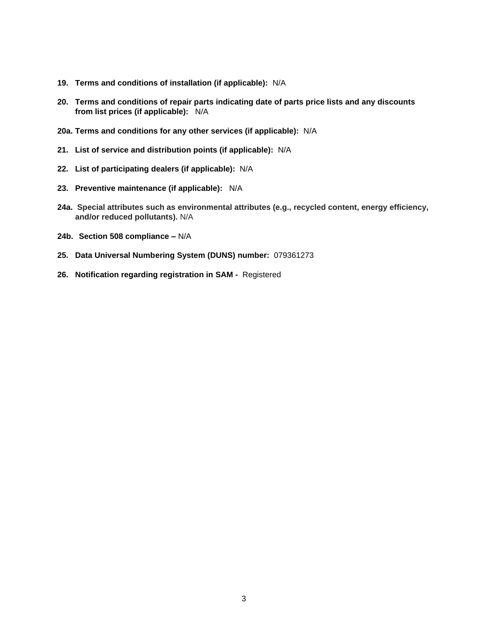- **19. Terms and conditions of installation (if applicable):** N/A
- **20. Terms and conditions of repair parts indicating date of parts price lists and any discounts from list prices (if applicable):** N/A
- **20a. Terms and conditions for any other services (if applicable):** N/A
- **21. List of service and distribution points (if applicable):** N/A
- **22. List of participating dealers (if applicable):** N/A
- **23. Preventive maintenance (if applicable):** N/A
- **24a. Special attributes such as environmental attributes (e.g., recycled content, energy efficiency, and/or reduced pollutants).** N/A
- **24b. Section 508 compliance –** N/A
- **25. Data Universal Numbering System (DUNS) number:** 079361273
- **26. Notification regarding registration in SAM** Registered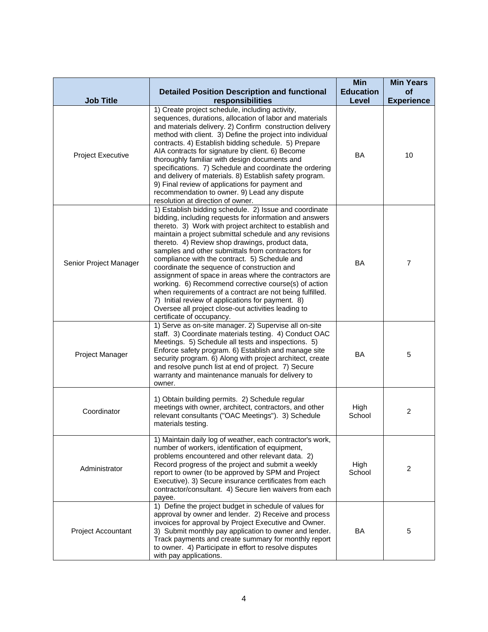|                        |                                                                                                                                                                                                                                                                                                                                                                                                                                                                                                                                                                                                                                                                                                                                                                         | <b>Min</b>       | <b>Min Years</b>  |
|------------------------|-------------------------------------------------------------------------------------------------------------------------------------------------------------------------------------------------------------------------------------------------------------------------------------------------------------------------------------------------------------------------------------------------------------------------------------------------------------------------------------------------------------------------------------------------------------------------------------------------------------------------------------------------------------------------------------------------------------------------------------------------------------------------|------------------|-------------------|
|                        | <b>Detailed Position Description and functional</b>                                                                                                                                                                                                                                                                                                                                                                                                                                                                                                                                                                                                                                                                                                                     | <b>Education</b> | of                |
| <b>Job Title</b>       | responsibilities<br>1) Create project schedule, including activity,                                                                                                                                                                                                                                                                                                                                                                                                                                                                                                                                                                                                                                                                                                     | Level            | <b>Experience</b> |
| Project Executive      | sequences, durations, allocation of labor and materials<br>and materials delivery. 2) Confirm construction delivery<br>method with client. 3) Define the project into individual<br>contracts. 4) Establish bidding schedule. 5) Prepare<br>AIA contracts for signature by client. 6) Become<br>thoroughly familiar with design documents and<br>specifications. 7) Schedule and coordinate the ordering<br>and delivery of materials. 8) Establish safety program.<br>9) Final review of applications for payment and<br>recommendation to owner. 9) Lead any dispute<br>resolution at direction of owner.                                                                                                                                                             | BA               | 10                |
| Senior Project Manager | 1) Establish bidding schedule. 2) Issue and coordinate<br>bidding, including requests for information and answers<br>thereto. 3) Work with project architect to establish and<br>maintain a project submittal schedule and any revisions<br>thereto. 4) Review shop drawings, product data,<br>samples and other submittals from contractors for<br>compliance with the contract. 5) Schedule and<br>coordinate the sequence of construction and<br>assignment of space in areas where the contractors are<br>working. 6) Recommend corrective course(s) of action<br>when requirements of a contract are not being fulfilled.<br>7) Initial review of applications for payment. 8)<br>Oversee all project close-out activities leading to<br>certificate of occupancy. | <b>BA</b>        | $\overline{7}$    |
| Project Manager        | 1) Serve as on-site manager. 2) Supervise all on-site<br>staff. 3) Coordinate materials testing. 4) Conduct OAC<br>Meetings. 5) Schedule all tests and inspections. 5)<br>Enforce safety program. 6) Establish and manage site<br>security program. 6) Along with project architect, create<br>and resolve punch list at end of project. 7) Secure<br>warranty and maintenance manuals for delivery to<br>owner.                                                                                                                                                                                                                                                                                                                                                        | <b>BA</b>        | 5                 |
| Coordinator            | 1) Obtain building permits. 2) Schedule regular<br>meetings with owner, architect, contractors, and other<br>relevant consultants ("OAC Meetings"). 3) Schedule<br>materials testing.                                                                                                                                                                                                                                                                                                                                                                                                                                                                                                                                                                                   | High<br>School   | 2                 |
| Administrator          | 1) Maintain daily log of weather, each contractor's work,<br>number of workers, identification of equipment,<br>problems encountered and other relevant data. 2)<br>Record progress of the project and submit a weekly<br>report to owner (to be approved by SPM and Project<br>Executive). 3) Secure insurance certificates from each<br>contractor/consultant. 4) Secure lien waivers from each<br>payee.                                                                                                                                                                                                                                                                                                                                                             | High<br>School   | $\overline{2}$    |
| Project Accountant     | 1) Define the project budget in schedule of values for<br>approval by owner and lender. 2) Receive and process<br>invoices for approval by Project Executive and Owner.<br>3) Submit monthly pay application to owner and lender.<br>Track payments and create summary for monthly report<br>to owner. 4) Participate in effort to resolve disputes<br>with pay applications.                                                                                                                                                                                                                                                                                                                                                                                           | <b>BA</b>        | 5                 |